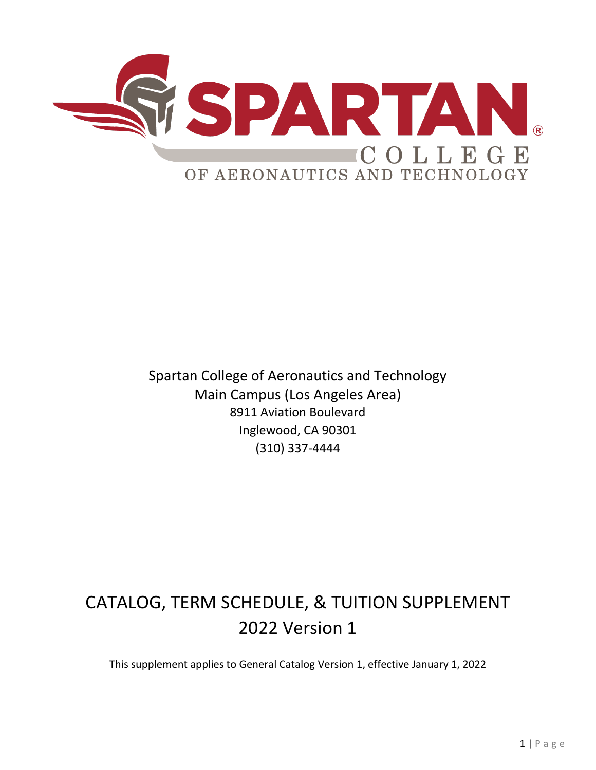

Spartan College of Aeronautics and Technology Main Campus (Los Angeles Area) 8911 Aviation Boulevard Inglewood, CA 90301 (310) 337-4444

# CATALOG, TERM SCHEDULE, & TUITION SUPPLEMENT 2022 Version 1

This supplement applies to General Catalog Version 1, effective January 1, 2022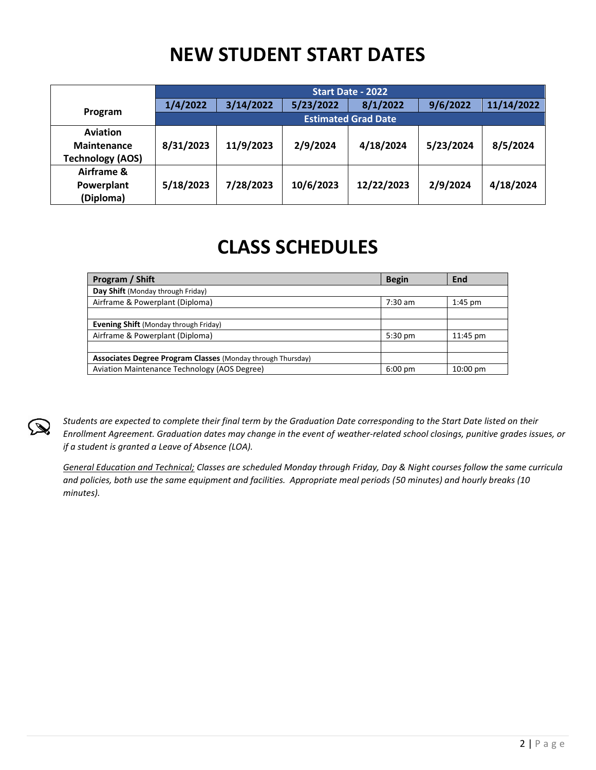# **NEW STUDENT START DATES**

|                                                                  |                            | Start Date - 2022 |           |            |           |            |  |  |  |
|------------------------------------------------------------------|----------------------------|-------------------|-----------|------------|-----------|------------|--|--|--|
|                                                                  | 1/4/2022                   | 3/14/2022         | 5/23/2022 | 8/1/2022   | 9/6/2022  | 11/14/2022 |  |  |  |
| Program                                                          | <b>Estimated Grad Date</b> |                   |           |            |           |            |  |  |  |
| <b>Aviation</b><br><b>Maintenance</b><br><b>Technology (AOS)</b> | 8/31/2023                  | 11/9/2023         | 2/9/2024  | 4/18/2024  | 5/23/2024 | 8/5/2024   |  |  |  |
| Airframe &<br>Powerplant<br>(Diploma)                            | 5/18/2023                  | 7/28/2023         | 10/6/2023 | 12/22/2023 | 2/9/2024  | 4/18/2024  |  |  |  |

# **CLASS SCHEDULES**

| Program / Shift                                                    | <b>Begin</b>      | End        |
|--------------------------------------------------------------------|-------------------|------------|
| Day Shift (Monday through Friday)                                  |                   |            |
| Airframe & Powerplant (Diploma)                                    | $7:30$ am         | $1:45$ pm  |
|                                                                    |                   |            |
| <b>Evening Shift</b> (Monday through Friday)                       |                   |            |
| Airframe & Powerplant (Diploma)                                    | $5:30$ pm         | 11:45 pm   |
|                                                                    |                   |            |
| <b>Associates Degree Program Classes (Monday through Thursday)</b> |                   |            |
| Aviation Maintenance Technology (AOS Degree)                       | $6:00 \text{ pm}$ | $10:00$ pm |



*Students are expected to complete their final term by the Graduation Date corresponding to the Start Date listed on their Enrollment Agreement. Graduation dates may change in the event of weather-related school closings, punitive grades issues, or if a student is granted a Leave of Absence (LOA).* 

*General Education and Technical; Classes are scheduled Monday through Friday, Day & Night courses follow the same curricula and policies, both use the same equipment and facilities. Appropriate meal periods (50 minutes) and hourly breaks (10 minutes).*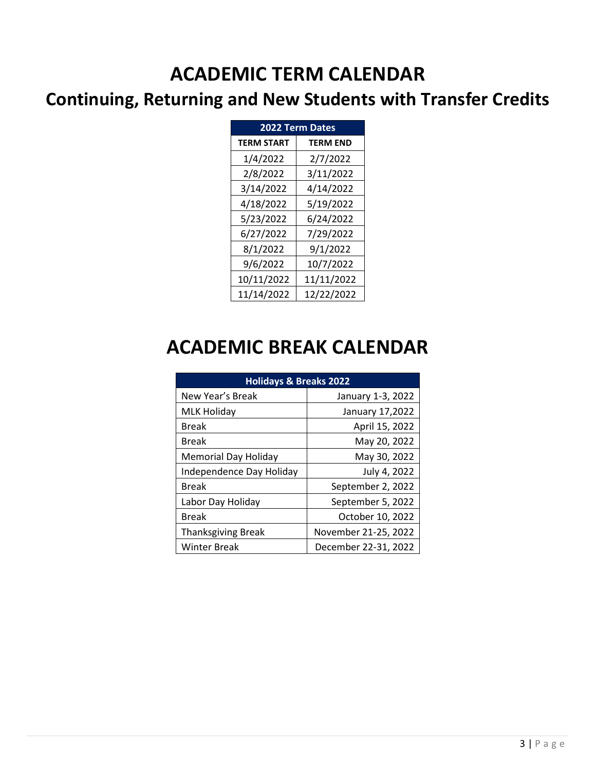# **ACADEMIC TERM CALENDAR**

## **Continuing, Returning and New Students with Transfer Credits**

| <b>2022 Term Dates</b> |                 |  |  |  |  |
|------------------------|-----------------|--|--|--|--|
| <b>TERM START</b>      | <b>TERM END</b> |  |  |  |  |
| 1/4/2022               | 2/7/2022        |  |  |  |  |
| 2/8/2022               | 3/11/2022       |  |  |  |  |
| 3/14/2022              | 4/14/2022       |  |  |  |  |
| 4/18/2022              | 5/19/2022       |  |  |  |  |
| 5/23/2022              | 6/24/2022       |  |  |  |  |
| 6/27/2022              | 7/29/2022       |  |  |  |  |
| 8/1/2022               | 9/1/2022        |  |  |  |  |
| 9/6/2022               | 10/7/2022       |  |  |  |  |
| 10/11/2022             | 11/11/2022      |  |  |  |  |
| 11/14/2022             | 12/22/2022      |  |  |  |  |

# **ACADEMIC BREAK CALENDAR**

| <b>Holidays &amp; Breaks 2022</b> |                      |
|-----------------------------------|----------------------|
| New Year's Break                  | January 1-3, 2022    |
| MLK Holiday                       | January 17,2022      |
| <b>Break</b>                      | April 15, 2022       |
| <b>Break</b>                      | May 20, 2022         |
| Memorial Day Holiday              | May 30, 2022         |
| Independence Day Holiday          | July 4, 2022         |
| Break                             | September 2, 2022    |
| Labor Day Holiday                 | September 5, 2022    |
| Break                             | October 10, 2022     |
| <b>Thanksgiving Break</b>         | November 21-25, 2022 |
| Winter Break                      | December 22-31, 2022 |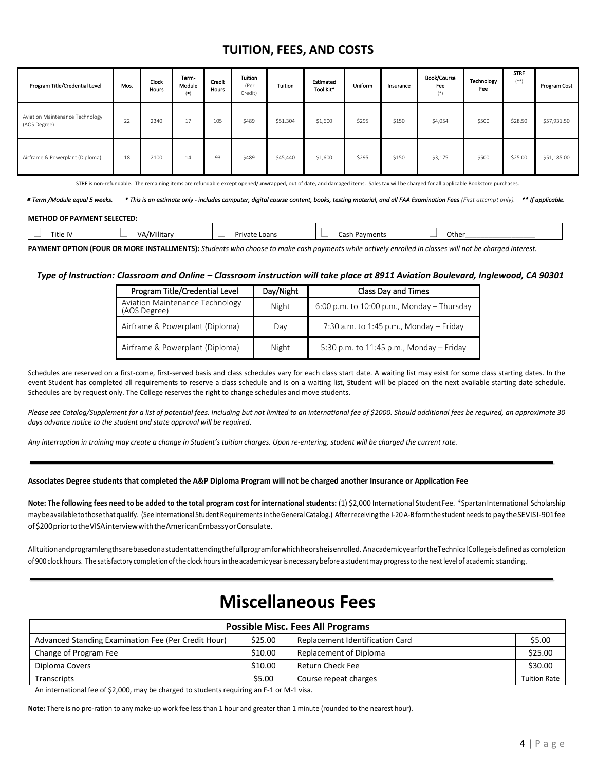### **TUITION, FEES, AND COSTS**

| Program Title/Credential Level                  | Mos. | <b>Clock</b><br><b>Hours</b> | Term-<br>Module<br>$($ . | Credit<br>Hours | Tuition<br>(Per<br>Credit) | Tuition  | Estimated<br>Tool Kit* | Uniform | Insurance | <b>Book/Course</b><br>Fee<br>$(*)$ | Technology<br>Fee | <b>STRF</b><br>$(***)$ | Program Cost |
|-------------------------------------------------|------|------------------------------|--------------------------|-----------------|----------------------------|----------|------------------------|---------|-----------|------------------------------------|-------------------|------------------------|--------------|
| Aviation Maintenance Technology<br>(AOS Degree) | 22   | 2340                         | 17                       | 105             | \$489                      | \$51,304 | \$1,600                | \$295   | \$150     | \$4,054                            | \$500             | \$28.50                | \$57,931.50  |
| Airframe & Powerplant (Diploma)                 | 18   | 2100                         | 14                       | 93              | \$489                      | \$45,440 | \$1,600                | \$295   | \$150     | \$3,175                            | \$500             | \$25.00                | \$51,185.00  |

STRF is non-refundable. The remaining items are refundable except opened/unwrapped, out of date, and damaged items. Sales tax will be charged for all applicable Bookstore purchases.

 *-Term /Module equal 5 weeks. \* This is an estimate only - includes computer, digital course content, books, testing material, and all FAA Examination Fees (First attempt only). \*\* If applicable.* 

#### **METHOD OF PAYMENT SELECTED:**

| Title IV | /Military | Private Loans | Cash Payments | Other |
|----------|-----------|---------------|---------------|-------|

**PAYMENT OPTION (FOUR OR MORE INSTALLMENTS):** *Students who choose to make cash payments while actively enrolled in classes will not be charged interest.*

#### *Type of Instruction: Classroom and Online – Classroom instruction will take place at 8911 Aviation Boulevard, Inglewood, CA 90301*

| Program Title/Credential Level                  | Day/Night | Class Day and Times                        |
|-------------------------------------------------|-----------|--------------------------------------------|
| Aviation Maintenance Technology<br>(AOS Degree) | Night     | 6:00 p.m. to 10:00 p.m., Monday - Thursday |
| Airframe & Powerplant (Diploma)                 | Day       | 7:30 a.m. to 1:45 p.m., Monday $-$ Friday  |
| Airframe & Powerplant (Diploma)                 | Night     | 5:30 p.m. to $11:45$ p.m., Monday - Friday |

Schedules are reserved on a first-come, first-served basis and class schedules vary for each class start date. A waiting list may exist for some class starting dates. In the event Student has completed all requirements to reserve a class schedule and is on a waiting list, Student will be placed on the next available starting date schedule. Schedules are by request only. The College reserves the right to change schedules and move students.

*Please see Catalog/Supplement for a list of potential fees. Including but not limited to an international fee of \$2000. Should additional fees be required, an approximate 30 days advance notice to the student and state approval will be required*.

Any interruption in training may create a change in Student's tuition charges. Upon re-entering, student will be charged the current rate.

#### **Associates Degree students that completed the A&P Diploma Program will not be charged another Insurance or Application Fee**

Note: The following fees need to be added to the total program cost for international students: (1) \$2,000 International Student Fee. \*Spartan International Scholarship may be available to those that qualify. (See International Student Requirements in the General Catalog.) After receiving the I-20A-B form the student needs to pay the SEVISI-901fee of\$200priortotheVISAinterviewwiththeAmericanEmbassyorConsulate.

Alltuitionandprogramlengthsarebasedonastudentattendingthefullprogramforwhichheorsheisenrolled. AnacademicyearfortheTechnicalCollegeisdefinedas completion of 900clock hours. The satisfactory completionofthe clock hoursin theacademic yearis necessarybefore a studentmay progressto thenextlevelof academic standing.

### **Miscellaneous Fees**

| <b>Possible Misc. Fees All Programs</b>                                                                     |         |                        |                     |  |  |  |  |
|-------------------------------------------------------------------------------------------------------------|---------|------------------------|---------------------|--|--|--|--|
| \$25.00<br>\$5.00<br>Advanced Standing Examination Fee (Per Credit Hour)<br>Replacement Identification Card |         |                        |                     |  |  |  |  |
| Change of Program Fee                                                                                       | \$10.00 | Replacement of Diploma | \$25.00             |  |  |  |  |
| Diploma Covers                                                                                              | \$10.00 | Return Check Fee       | \$30.00             |  |  |  |  |
| <b>Transcripts</b>                                                                                          | \$5.00  | Course repeat charges  | <b>Tuition Rate</b> |  |  |  |  |

An international fee of \$2,000, may be charged to students requiring an F-1 or M-1 visa.

**Note:** There is no pro-ration to any make-up work fee less than 1 hour and greater than 1 minute (rounded to the nearest hour).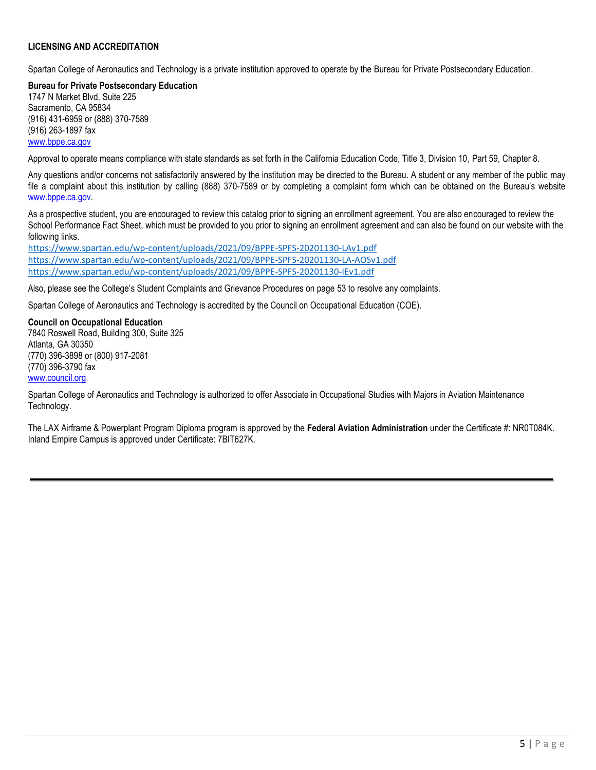### **LICENSING AND ACCREDITATION**

Spartan College of Aeronautics and Technology is a private institution approved to operate by the Bureau for Private Postsecondary Education.

**Bureau for Private Postsecondary Education** 1747 N Market Blvd, Suite 225 Sacramento, CA 95834 (916) 431-6959 or (888) 370-7589 (916) 263-1897 fax [www.bppe.ca.gov](http://www.bppe.ca.gov/)

Approval to operate means compliance with state standards as set forth in the California Education Code, Title 3, Division 10, Part 59, Chapter 8.

Any questions and/or concerns not satisfactorily answered by the institution may be directed to the Bureau. A student or any member of the public may file a complaint about this institution by calling (888) 370-7589 or by completing a complaint form which can be obtained on the Bureau's website [www.bppe.ca.gov.](http://www.bppe.ca.gov/)

As a prospective student, you are encouraged to review this catalog prior to signing an enrollment agreement. You are also encouraged to review the School Performance Fact Sheet, which must be provided to you prior to signing an enrollment agreement and can also be found on our website with the following links.

<https://www.spartan.edu/wp-content/uploads/2021/09/BPPE-SPFS-20201130-LAv1.pdf> <https://www.spartan.edu/wp-content/uploads/2021/09/BPPE-SPFS-20201130-LA-AOSv1.pdf> <https://www.spartan.edu/wp-content/uploads/2021/09/BPPE-SPFS-20201130-IEv1.pdf>

Also, please see the College's Student Complaints and Grievance Procedures on page 53 to resolve any complaints.

Spartan College of Aeronautics and Technology is accredited by the Council on Occupational Education (COE).

**Council on Occupational Education** 7840 Roswell Road, Building 300, Suite 325 Atlanta, GA 30350 (770) 396-3898 or (800) 917-2081

(770) 396-3790 fax [www.council.org](http://www.council.org/)

Spartan College of Aeronautics and Technology is authorized to offer Associate in Occupational Studies with Majors in Aviation Maintenance Technology.

The LAX Airframe & Powerplant Program Diploma program is approved by the **Federal Aviation Administration** under the Certificate #: NR0T084K. Inland Empire Campus is approved under Certificate: 7BIT627K.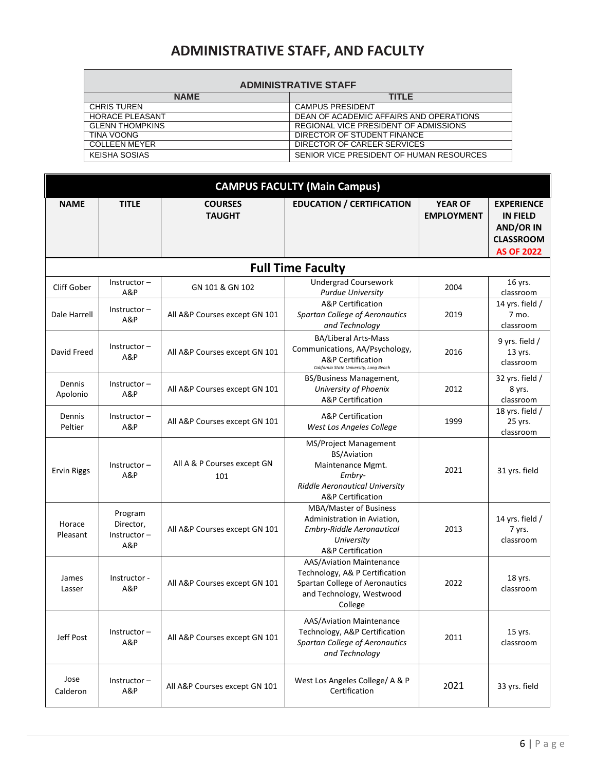## **ADMINISTRATIVE STAFF, AND FACULTY**

|  |  |  |  | <b>ADMINISTRATIVE STAFF</b> |
|--|--|--|--|-----------------------------|
|  |  |  |  |                             |

|             | ADIVIIIVIO LINA LIVE OTALI |                                          |  |  |  |  |  |
|-------------|----------------------------|------------------------------------------|--|--|--|--|--|
| <b>NAME</b> |                            | TITI F                                   |  |  |  |  |  |
|             | <b>CHRIS TUREN</b>         | <b>CAMPUS PRESIDENT</b>                  |  |  |  |  |  |
|             | <b>HORACE PLEASANT</b>     | DEAN OF ACADEMIC AFFAIRS AND OPERATIONS  |  |  |  |  |  |
|             | <b>GLENN THOMPKINS</b>     | REGIONAL VICE PRESIDENT OF ADMISSIONS    |  |  |  |  |  |
|             | TINA VOONG                 | DIRECTOR OF STUDENT FINANCE              |  |  |  |  |  |
|             | COLLEEN MEYER              | DIRECTOR OF CAREER SERVICES              |  |  |  |  |  |
|             | KEISHA SOSIAS              | SENIOR VICE PRESIDENT OF HUMAN RESOURCES |  |  |  |  |  |

| <b>CAMPUS FACULTY (Main Campus)</b> |                                               |                                    |                                                                                                                                                     |                                     |                                                                                                   |  |  |  |
|-------------------------------------|-----------------------------------------------|------------------------------------|-----------------------------------------------------------------------------------------------------------------------------------------------------|-------------------------------------|---------------------------------------------------------------------------------------------------|--|--|--|
| <b>NAME</b><br><b>TITLE</b>         |                                               | <b>COURSES</b><br><b>TAUGHT</b>    | <b>EDUCATION / CERTIFICATION</b>                                                                                                                    | <b>YEAR OF</b><br><b>EMPLOYMENT</b> | <b>EXPERIENCE</b><br><b>IN FIELD</b><br><b>AND/OR IN</b><br><b>CLASSROOM</b><br><b>AS OF 2022</b> |  |  |  |
|                                     |                                               |                                    | <b>Full Time Faculty</b>                                                                                                                            |                                     |                                                                                                   |  |  |  |
| Cliff Gober                         | $Instructor -$<br>A&P                         | GN 101 & GN 102                    | <b>Undergrad Coursework</b><br><b>Purdue University</b>                                                                                             | 2004                                | 16 yrs.<br>classroom                                                                              |  |  |  |
| Dale Harrell                        | $Instructor -$<br>A&P                         | All A&P Courses except GN 101      | <b>A&amp;P</b> Certification<br>Spartan College of Aeronautics<br>and Technology                                                                    | 2019                                | 14 yrs. field /<br>7 mo.<br>classroom                                                             |  |  |  |
| David Freed                         | $Instructor -$<br>A&P                         | All A&P Courses except GN 101      | <b>BA/Liberal Arts-Mass</b><br>Communications, AA/Psychology,<br><b>A&amp;P</b> Certification<br>California State University, Long Beach            | 2016                                | 9 yrs. field /<br>13 yrs.<br>classroom                                                            |  |  |  |
| Dennis<br>Apolonio                  | $Instructor -$<br>A&P                         | All A&P Courses except GN 101      | BS/Business Management,<br>University of Phoenix<br><b>A&amp;P</b> Certification                                                                    | 2012                                | 32 yrs. field /<br>8 yrs.<br>classroom                                                            |  |  |  |
| Dennis<br>Peltier                   | $Instructor -$<br>A&P                         | All A&P Courses except GN 101      | <b>A&amp;P Certification</b><br>West Los Angeles College                                                                                            | 1999                                | 18 yrs. field /<br>25 yrs.<br>classroom                                                           |  |  |  |
| <b>Ervin Riggs</b>                  | $Instructor -$<br>A&P                         | All A & P Courses except GN<br>101 | MS/Project Management<br><b>BS/Aviation</b><br>Maintenance Mgmt.<br>Embry-<br><b>Riddle Aeronautical University</b><br><b>A&amp;P</b> Certification | 2021                                | 31 yrs. field                                                                                     |  |  |  |
| Horace<br>Pleasant                  | Program<br>Director,<br>$Instructor -$<br>A&P | All A&P Courses except GN 101      | MBA/Master of Business<br>Administration in Aviation,<br>Embry-Riddle Aeronautical<br>University<br>A&P Certification                               | 2013                                | 14 yrs. field /<br>7 yrs.<br>classroom                                                            |  |  |  |
| James<br>Lasser                     | Instructor -<br>A&P                           | All A&P Courses except GN 101      | AAS/Aviation Maintenance<br>Technology, A& P Certification<br>Spartan College of Aeronautics<br>and Technology, Westwood<br>College                 | 2022                                | 18 yrs.<br>classroom                                                                              |  |  |  |
| Jeff Post                           | $Instructor -$<br>A&P                         | All A&P Courses except GN 101      | AAS/Aviation Maintenance<br>Technology, A&P Certification<br><b>Spartan College of Aeronautics</b><br>and Technology                                | 2011                                | 15 yrs.<br>classroom                                                                              |  |  |  |
| Jose<br>Calderon                    | $Instructor -$<br>A&P                         | All A&P Courses except GN 101      | West Los Angeles College/ A & P<br>Certification                                                                                                    | 2021                                | 33 yrs. field                                                                                     |  |  |  |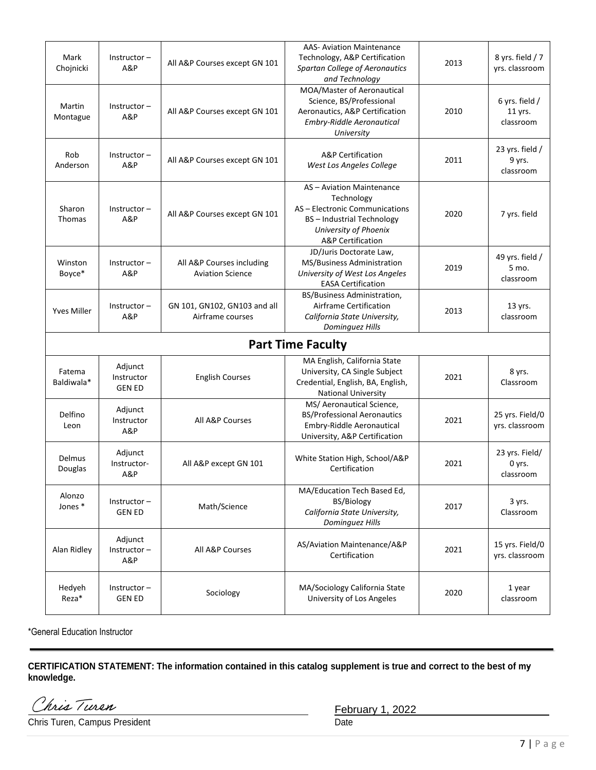| Mark<br>Chojnicki    | $Instructor -$<br>A&P                  | All A&P Courses except GN 101                        | <b>AAS- Aviation Maintenance</b><br>Technology, A&P Certification<br>Spartan College of Aeronautics<br>and Technology                                                 | 2013 | 8 yrs. field / 7<br>yrs. classroom     |
|----------------------|----------------------------------------|------------------------------------------------------|-----------------------------------------------------------------------------------------------------------------------------------------------------------------------|------|----------------------------------------|
| Martin<br>Montague   | $Instructor -$<br>A&P                  | All A&P Courses except GN 101                        | MOA/Master of Aeronautical<br>Science, BS/Professional<br>Aeronautics, A&P Certification<br>Embry-Riddle Aeronautical<br>University                                   | 2010 | 6 yrs. field /<br>11 yrs.<br>classroom |
| Rob<br>Anderson      | $Instructor -$<br>A&P                  | All A&P Courses except GN 101                        | A&P Certification<br>West Los Angeles College                                                                                                                         | 2011 | 23 yrs. field /<br>9 yrs.<br>classroom |
| Sharon<br>Thomas     | $Instructor -$<br>A&P                  | All A&P Courses except GN 101                        | AS - Aviation Maintenance<br>Technology<br>AS - Electronic Communications<br><b>BS-Industrial Technology</b><br>University of Phoenix<br><b>A&amp;P</b> Certification | 2020 | 7 yrs. field                           |
| Winston<br>Boyce*    | $Instructor -$<br>A&P                  | All A&P Courses including<br><b>Aviation Science</b> | JD/Juris Doctorate Law,<br>MS/Business Administration<br>University of West Los Angeles<br><b>EASA Certification</b>                                                  | 2019 | 49 yrs. field /<br>5 mo.<br>classroom  |
| <b>Yves Miller</b>   | $Instructor -$<br>A&P                  | GN 101, GN102, GN103 and all<br>Airframe courses     | BS/Business Administration,<br>Airframe Certification<br>California State University,<br>Dominguez Hills                                                              | 2013 | 13 yrs.<br>classroom                   |
|                      |                                        |                                                      | <b>Part Time Faculty</b>                                                                                                                                              |      |                                        |
| Fatema<br>Baldiwala* | Adjunct<br>Instructor<br><b>GEN ED</b> | <b>English Courses</b>                               | MA English, California State<br>University, CA Single Subject<br>Credential, English, BA, English,<br><b>National University</b>                                      | 2021 | 8 yrs.<br>Classroom                    |
| Delfino<br>Leon      | Adjunct<br>Instructor<br>A&P           | All A&P Courses                                      | MS/ Aeronautical Science,<br><b>BS/Professional Aeronautics</b><br>Embry-Riddle Aeronautical<br>University, A&P Certification                                         | 2021 | 25 yrs. Field/0<br>yrs. classroom      |
| Delmus<br>Douglas    | Adjunct<br>Instructor-<br>A&P          | All A&P except GN 101                                | White Station High, School/A&P<br>Certification                                                                                                                       | 2021 | 23 yrs. Field/<br>0 yrs.<br>classroom  |
| Alonzo<br>Jones*     | Instructor-<br><b>GEN ED</b>           | Math/Science                                         | MA/Education Tech Based Ed,<br><b>BS/Biology</b><br>California State University,<br>Dominguez Hills                                                                   | 2017 | 3 yrs.<br>Classroom                    |
| Alan Ridley          | Adjunct<br>Instructor-<br>A&P          | All A&P Courses                                      | AS/Aviation Maintenance/A&P<br>Certification                                                                                                                          | 2021 | 15 yrs. Field/0<br>yrs. classroom      |
| Hedyeh<br>Reza*      | $Instructor -$<br><b>GEN ED</b>        | Sociology                                            | MA/Sociology California State<br>University of Los Angeles                                                                                                            | 2020 | 1 year<br>classroom                    |

\*General Education Instructor

**CERTIFICATION STATEMENT: The information contained in this catalog supplement is true and correct to the best of my knowledge.**

Chris Turen

Chris Turen, Campus President

February 1, 2022<br>Date